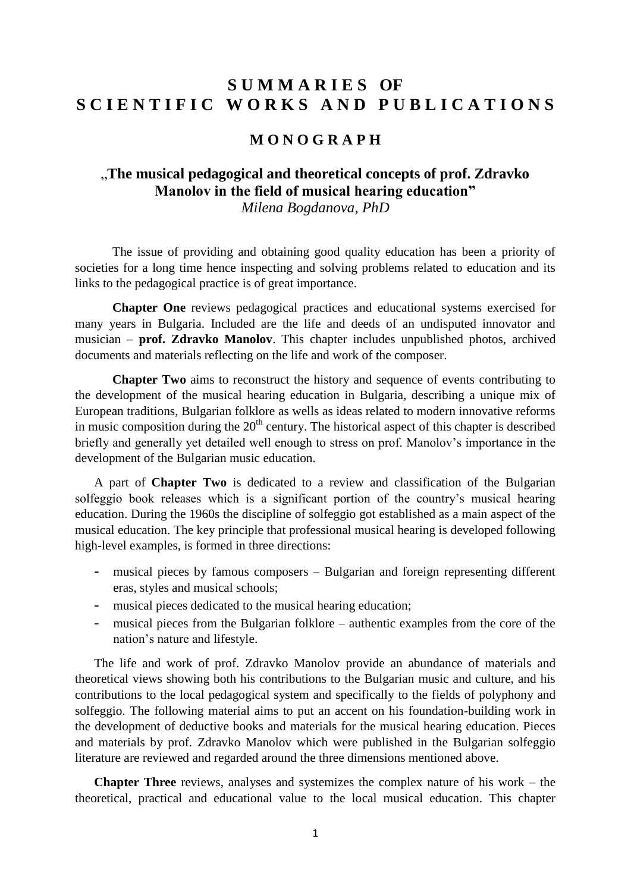# **S U M M A R I E S OF**  S C I E N T I F I C WORKS AND PUBLICATIONS

# **M O N O G R A P H**

# "**The musical pedagogical and theoretical concepts of prof. Zdravko Manolov in the field of musical hearing education"**

*Milena Bogdanova, PhD*

The issue of providing and obtaining good quality education has been a priority of societies for a long time hence inspecting and solving problems related to education and its links to the pedagogical practice is of great importance.

**Chapter One** reviews pedagogical practices and educational systems exercised for many years in Bulgaria. Included are the life and deeds of an undisputed innovator and musician – **prof. Zdravko Manolov**. This chapter includes unpublished photos, archived documents and materials reflecting on the life and work of the composer.

**Chapter Two** aims to reconstruct the history and sequence of events contributing to the development of the musical hearing education in Bulgaria, describing a unique mix of European traditions, Bulgarian folklore as wells as ideas related to modern innovative reforms in music composition during the  $20<sup>th</sup>$  century. The historical aspect of this chapter is described briefly and generally yet detailed well enough to stress on prof. Manolov's importance in the development of the Bulgarian music education.

A part of **Chapter Two** is dedicated to a review and classification of the Bulgarian solfeggio book releases which is a significant portion of the country's musical hearing education. During the 1960s the discipline of solfeggio got established as a main aspect of the musical education. The key principle that professional musical hearing is developed following high-level examples, is formed in three directions:

- *-* musical pieces by famous composers Bulgarian and foreign representing different eras, styles and musical schools;
- *-* musical pieces dedicated to the musical hearing education;
- *-* musical pieces from the Bulgarian folklore authentic examples from the core of the nation's nature and lifestyle.

The life and work of prof. Zdravko Manolov provide an abundance of materials and theoretical views showing both his contributions to the Bulgarian music and culture, and his contributions to the local pedagogical system and specifically to the fields of polyphony and solfeggio. The following material aims to put an accent on his foundation-building work in the development of deductive books and materials for the musical hearing education. Pieces and materials by prof. Zdravko Manolov which were published in the Bulgarian solfeggio literature are reviewed and regarded around the three dimensions mentioned above.

**Chapter Three** reviews, analyses and systemizes the complex nature of his work – the theoretical, practical and educational value to the local musical education. This chapter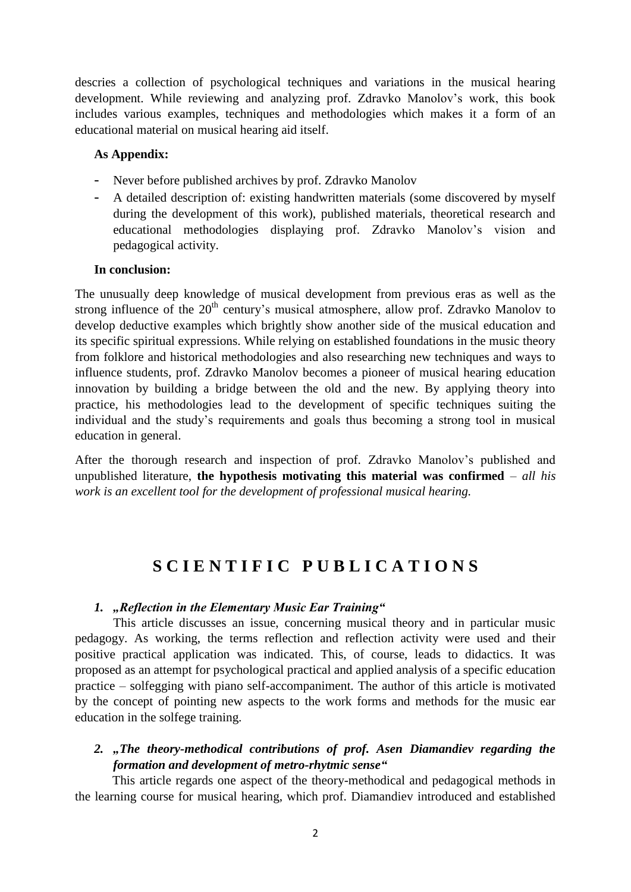descries a collection of psychological techniques and variations in the musical hearing development. While reviewing and analyzing prof. Zdravko Manolov's work, this book includes various examples, techniques and methodologies which makes it a form of an educational material on musical hearing aid itself.

### **As Appendix:**

- *-* Never before published archives by prof. Zdravko Manolov
- *-* A detailed description of: existing handwritten materials (some discovered by myself during the development of this work), published materials, theoretical research and educational methodologies displaying prof. Zdravko Manolov's vision and pedagogical activity.

#### **In conclusion:**

The unusually deep knowledge of musical development from previous eras as well as the strong influence of the  $20<sup>th</sup>$  century's musical atmosphere, allow prof. Zdravko Manolov to develop deductive examples which brightly show another side of the musical education and its specific spiritual expressions. While relying on established foundations in the music theory from folklore and historical methodologies and also researching new techniques and ways to influence students, prof. Zdravko Manolov becomes a pioneer of musical hearing education innovation by building a bridge between the old and the new. By applying theory into practice, his methodologies lead to the development of specific techniques suiting the individual and the study's requirements and goals thus becoming a strong tool in musical education in general.

After the thorough research and inspection of prof. Zdravko Manolov's published and unpublished literature, **the hypothesis motivating this material was confirmed** – *all his work is an excellent tool for the development of professional musical hearing.*

# **S C I E N T I F I C P U B L I C A T I O N S**

## *1. "Reflection in the Elementary Music Ear Training"*

This article discusses an issue, concerning musical theory and in particular music pedagogy. As working, the terms reflection and reflection activity were used and their positive practical application was indicated. This, of course, leads to didactics. It was proposed as an attempt for psychological practical and applied analysis of a specific education practice – solfegging with piano self-accompaniment. The author of this article is motivated by the concept of pointing new aspects to the work forms and methods for the music ear education in the solfege training.

# 2. "The theory-methodical contributions of prof. Asen Diamandiev regarding the *formation and development of metro-rhytmic sense"*

This article regards one aspect of the theory-methodical and pedagogical methods in the learning course for musical hearing, which prof. Diamandiev introduced and established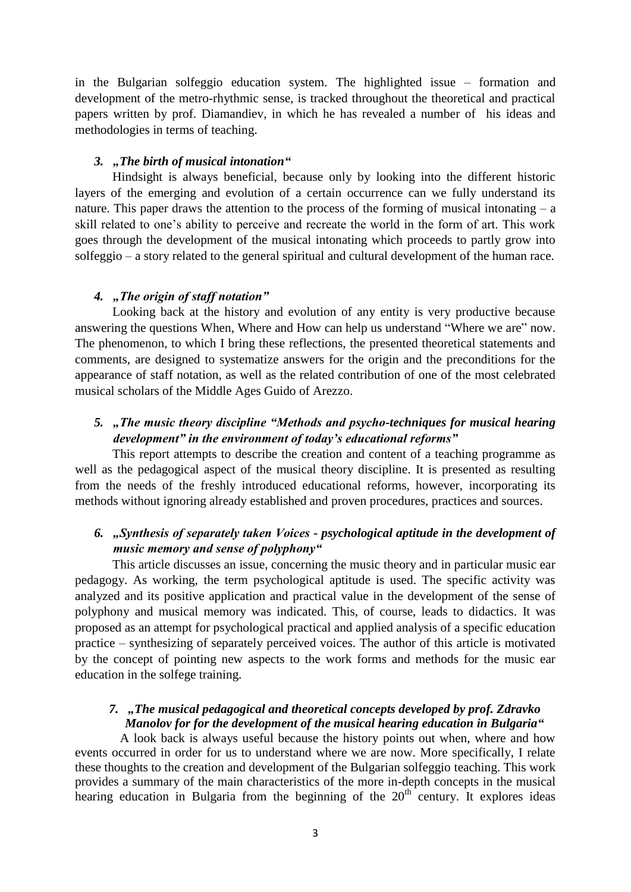in the Bulgarian solfeggio education system. The highlighted issue – formation and development of the metro-rhythmic sense, is tracked throughout the theoretical and practical papers written by prof. Diamandiev, in which he has revealed a number of his ideas and methodologies in terms of teaching.

## *3. "The birth of musical intonation"*

Hindsight is always beneficial, because only by looking into the different historic layers of the emerging and evolution of a certain occurrence can we fully understand its nature. This paper draws the attention to the process of the forming of musical intonating  $- a$ skill related to one's ability to perceive and recreate the world in the form of art. This work goes through the development of the musical intonating which proceeds to partly grow into solfeggio – a story related to the general spiritual and cultural development of the human race.

#### *4. "The origin of staff notation"*

Looking back at the history and evolution of any entity is very productive because answering the questions When, Where and How can help us understand "Where we are" now. The phenomenon, to which I bring these reflections, the presented theoretical statements and comments, are designed to systematize answers for the origin and the preconditions for the appearance of staff notation, as well as the related contribution of one of the most celebrated musical scholars of the Middle Ages Guido of Arezzo.

# *5. "The music theory discipline "Methods and psycho-techniques for musical hearing development" in the environment of today's educational reforms"*

This report attempts to describe the creation and content of a teaching programme as well as the pedagogical aspect of the musical theory discipline. It is presented as resulting from the needs of the freshly introduced educational reforms, however, incorporating its methods without ignoring already established and proven procedures, practices and sources.

# *6. "Synthesis of separately taken Voices - psychological aptitude in the development of music memory and sense of polyphony"*

This article discusses an issue, concerning the music theory and in particular music ear pedagogy. As working, the term psychological aptitude is used. The specific activity was analyzed and its positive application and practical value in the development of the sense of polyphony and musical memory was indicated. This, of course, leads to didactics. It was proposed as an attempt for psychological practical and applied analysis of a specific education practice – synthesizing of separately perceived voices. The author of this article is motivated by the concept of pointing new aspects to the work forms and methods for the music ear education in the solfege training.

# *7. "The musical pedagogical and theoretical concepts developed by prof. Zdravko Manolov for for the development of the musical hearing education in Bulgaria"*

A look back is always useful because the history points out when, where and how events occurred in order for us to understand where we are now. More specifically, I relate these thoughts to the creation and development of the Bulgarian solfeggio teaching. This work provides a summary of the main characteristics of the more in-depth concepts in the musical hearing education in Bulgaria from the beginning of the  $20<sup>th</sup>$  century. It explores ideas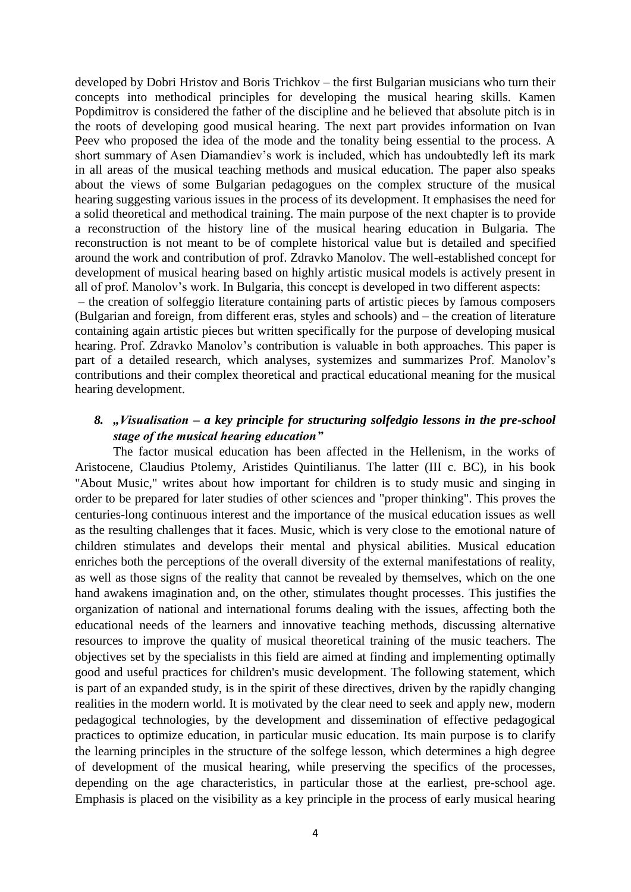developed by Dobri Hristov and Boris Trichkov – the first Bulgarian musicians who turn their concepts into methodical principles for developing the musical hearing skills. Kamen Popdimitrov is considered the father of the discipline and he believed that absolute pitch is in the roots of developing good musical hearing. The next part provides information on Ivan Peev who proposed the idea of the mode and the tonality being essential to the process. A short summary of Asen Diamandiev's work is included, which has undoubtedly left its mark in all areas of the musical teaching methods and musical education. The paper also speaks about the views of some Bulgarian pedagogues on the complex structure of the musical hearing suggesting various issues in the process of its development. It emphasises the need for a solid theoretical and methodical training. The main purpose of the next chapter is to provide a reconstruction of the history line of the musical hearing education in Bulgaria. The reconstruction is not meant to be of complete historical value but is detailed and specified around the work and contribution of prof. Zdravko Manolov. The well-established concept for development of musical hearing based on highly artistic musical models is actively present in all of prof. Manolov's work. In Bulgaria, this concept is developed in two different aspects:

– the creation of solfeggio literature containing parts of artistic pieces by famous composers (Bulgarian and foreign, from different eras, styles and schools) and – the creation of literature containing again artistic pieces but written specifically for the purpose of developing musical hearing. Prof. Zdravko Manolov's contribution is valuable in both approaches. This paper is part of a detailed research, which analyses, systemizes and summarizes Prof. Manolov's contributions and their complex theoretical and practical educational meaning for the musical hearing development.

### *8. "Visualisation – a key principle for structuring solfedgio lessons in the pre-school stage of the musical hearing education"*

The factor musical education has been affected in the Hellenism, in the works of Aristocene, Claudius Ptolemy, Aristides Quintilianus. The latter (III c. BC), in his book "About Music," writes about how important for children is to study music and singing in order to be prepared for later studies of other sciences and "proper thinking". This proves the centuries-long continuous interest and the importance of the musical education issues as well as the resulting challenges that it faces. Music, which is very close to the emotional nature of children stimulates and develops their mental and physical abilities. Musical education enriches both the perceptions of the overall diversity of the external manifestations of reality, as well as those signs of the reality that cannot be revealed by themselves, which on the one hand awakens imagination and, on the other, stimulates thought processes. This justifies the organization of national and international forums dealing with the issues, affecting both the educational needs of the learners and innovative teaching methods, discussing alternative resources to improve the quality of musical theoretical training of the music teachers. The objectives set by the specialists in this field are aimed at finding and implementing optimally good and useful practices for children's music development. The following statement, which is part of an expanded study, is in the spirit of these directives, driven by the rapidly changing realities in the modern world. It is motivated by the clear need to seek and apply new, modern pedagogical technologies, by the development and dissemination of effective pedagogical practices to optimize education, in particular music education. Its main purpose is to clarify the learning principles in the structure of the solfege lesson, which determines a high degree of development of the musical hearing, while preserving the specifics of the processes, depending on the age characteristics, in particular those at the earliest, pre-school age. Emphasis is placed on the visibility as a key principle in the process of early musical hearing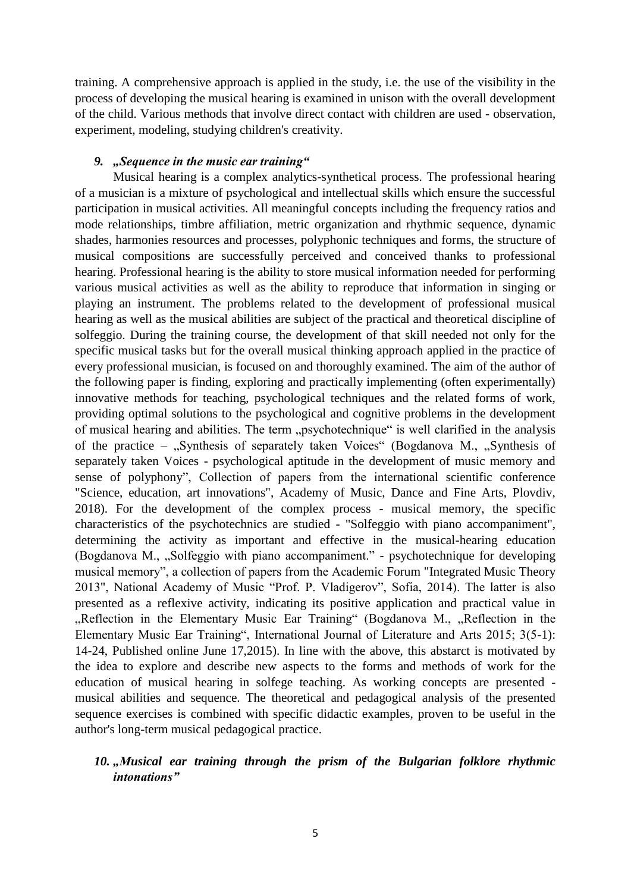training. A comprehensive approach is applied in the study, i.e. the use of the visibility in the process of developing the musical hearing is examined in unison with the overall development of the child. Various methods that involve direct contact with children are used - observation, experiment, modeling, studying children's creativity.

#### *9. "Sequence in the music ear training"*

Musical hearing is a complex analytics-synthetical process. The professional hearing of a musician is a mixture of psychological and intellectual skills which ensure the successful participation in musical activities. All meaningful concepts including the frequency ratios and mode relationships, timbre affiliation, metric organization and rhythmic sequence, dynamic shades, harmonies resources and processes, polyphonic techniques and forms, [the structure of](http://journals.sagepub.com/doi/abs/10.1177/1473871616655468)  [musical compositions](http://journals.sagepub.com/doi/abs/10.1177/1473871616655468) are successfully perceived and conceived thanks to professional hearing. Professional hearing is the ability to store musical information needed for performing various musical activities as well as the ability to reproduce that information in singing or playing an instrument. The problems related to the development of professional musical hearing as well as the musical abilities are subject of the practical and theoretical discipline of solfeggio. During the training course, the development of that skill needed not only for the specific musical tasks but for the overall musical thinking approach applied in the practice of every professional musician, is focused on and thoroughly examined. The aim of the author of the following paper is finding, exploring and practically implementing (often experimentally) innovative methods for teaching, psychological techniques and the related forms of work, providing optimal solutions to the psychological and cognitive problems in the development of musical hearing and abilities. The term "psychotechnique" is well clarified in the analysis of the practice – ["Synthesis of](https://www.academia.edu/36976391/Synthesis_of_separately_taken_Voices_-_psychological_aptitude_in_the_development_of_music_memory_and_sense_of_polyphony_%D0%A1%D0%B8%D0%BD%D1%82%D0%B5%D0%B7%D0%B8%D1%80%D0%B0%D0%BD%D0%B5_%D0%BD%D0%B0_%D0%BE%D1%82%D0%B4%D0%B5%D0%BB%D0%BD%D0%BE_%D0%B2%D1%8A%D0%B7%D0%BF%D1%80%D0%B8%D0%B5%D1%82%D0%B8_%D0%B3%D0%BB%D0%B0%D1%81%D0%BE%D0%B2%D0%B5_-_%D0%BF%D1%81%D0%B8%D1%85%D0%BE%D1%82%D0%B5%D1%85%D0%BD%D0%B8%D0%BA%D0%B0_%D0%B2_%D1%80%D0%B0%D0%B7%D0%B2%D0%B8%D1%82%D0%B8%D0%B5%D1%82%D0%BE_%D0%BD%D0%B0_%D0%BC%D1%83%D0%B7%D0%B8%D0%BA%D0%B0%D0%BB%D0%BD%D0%B0%D1%82%D0%B0_%D0%BF%D0%B0%D0%BC%D0%B5%D1%82_%D0%B8_%D0%BD%D0%B0_%D1%83%D1%81%D0%B5%D1%82%D0%B0_%D0%B7%D0%B0_%D0%BC%D0%BD%D0%BE%D0%B3%D0%BE%D0%B3%D0%BB%D0%B0%D1%81%D0%B8%D0%B5.docx) separately taken Voices" (Bogdanova M., "Synthesis of separately taken Voices - [psychological aptitude in the development of music memory and](https://www.academia.edu/36976391/Synthesis_of_separately_taken_Voices_-_psychological_aptitude_in_the_development_of_music_memory_and_sense_of_polyphony_%D0%A1%D0%B8%D0%BD%D1%82%D0%B5%D0%B7%D0%B8%D1%80%D0%B0%D0%BD%D0%B5_%D0%BD%D0%B0_%D0%BE%D1%82%D0%B4%D0%B5%D0%BB%D0%BD%D0%BE_%D0%B2%D1%8A%D0%B7%D0%BF%D1%80%D0%B8%D0%B5%D1%82%D0%B8_%D0%B3%D0%BB%D0%B0%D1%81%D0%BE%D0%B2%D0%B5_-_%D0%BF%D1%81%D0%B8%D1%85%D0%BE%D1%82%D0%B5%D1%85%D0%BD%D0%B8%D0%BA%D0%B0_%D0%B2_%D1%80%D0%B0%D0%B7%D0%B2%D0%B8%D1%82%D0%B8%D0%B5%D1%82%D0%BE_%D0%BD%D0%B0_%D0%BC%D1%83%D0%B7%D0%B8%D0%BA%D0%B0%D0%BB%D0%BD%D0%B0%D1%82%D0%B0_%D0%BF%D0%B0%D0%BC%D0%B5%D1%82_%D0%B8_%D0%BD%D0%B0_%D1%83%D1%81%D0%B5%D1%82%D0%B0_%D0%B7%D0%B0_%D0%BC%D0%BD%D0%BE%D0%B3%D0%BE%D0%B3%D0%BB%D0%B0%D1%81%D0%B8%D0%B5.docx)  [sense of polyphony"](https://www.academia.edu/36976391/Synthesis_of_separately_taken_Voices_-_psychological_aptitude_in_the_development_of_music_memory_and_sense_of_polyphony_%D0%A1%D0%B8%D0%BD%D1%82%D0%B5%D0%B7%D0%B8%D1%80%D0%B0%D0%BD%D0%B5_%D0%BD%D0%B0_%D0%BE%D1%82%D0%B4%D0%B5%D0%BB%D0%BD%D0%BE_%D0%B2%D1%8A%D0%B7%D0%BF%D1%80%D0%B8%D0%B5%D1%82%D0%B8_%D0%B3%D0%BB%D0%B0%D1%81%D0%BE%D0%B2%D0%B5_-_%D0%BF%D1%81%D0%B8%D1%85%D0%BE%D1%82%D0%B5%D1%85%D0%BD%D0%B8%D0%BA%D0%B0_%D0%B2_%D1%80%D0%B0%D0%B7%D0%B2%D0%B8%D1%82%D0%B8%D0%B5%D1%82%D0%BE_%D0%BD%D0%B0_%D0%BC%D1%83%D0%B7%D0%B8%D0%BA%D0%B0%D0%BB%D0%BD%D0%B0%D1%82%D0%B0_%D0%BF%D0%B0%D0%BC%D0%B5%D1%82_%D0%B8_%D0%BD%D0%B0_%D1%83%D1%81%D0%B5%D1%82%D0%B0_%D0%B7%D0%B0_%D0%BC%D0%BD%D0%BE%D0%B3%D0%BE%D0%B3%D0%BB%D0%B0%D1%81%D0%B8%D0%B5.docx), Collection of papers from the international scientific conference "Science, education, art innovations", Academy of Music, Dance and Fine Arts, Plovdiv, 2018). For the development of the complex process - musical memory, the specific characteristics of the psychotechnics are studied - "Solfeggio with piano accompaniment", determining the activity as important and effective in the musical-hearing education (Bogdanova M., "Solfeggio with piano accompaniment." - psychotechnique for developing musical memory", a collection of papers from the Academic Forum "Integrated Music Theory 2013", National Academy of Music "Prof. P. Vladigerov", Sofia, 2014). The latter is also presented as a reflexive activity, indicating its positive application and practical value in "Reflection in the Elementary Music Ear Training" (Bogdanova M., "Reflection in the Elementary Music Ear Training", International Journal of Literature and Arts 2015; 3(5-1): 14-24, Published online June 17,2015). In line with the above, this abstarct is motivated by the idea to explore and describe new aspects to the forms and methods of work for the education of musical hearing in solfege teaching. As working concepts are presented musical abilities and sequence. The theoretical and pedagogical analysis of the presented sequence exercises is combined with specific didactic examples, proven to be useful in the author's long-term musical pedagogical practice.

# 10. "Musical ear training through the prism of the Bulgarian folklore rhythmic *intonations"*